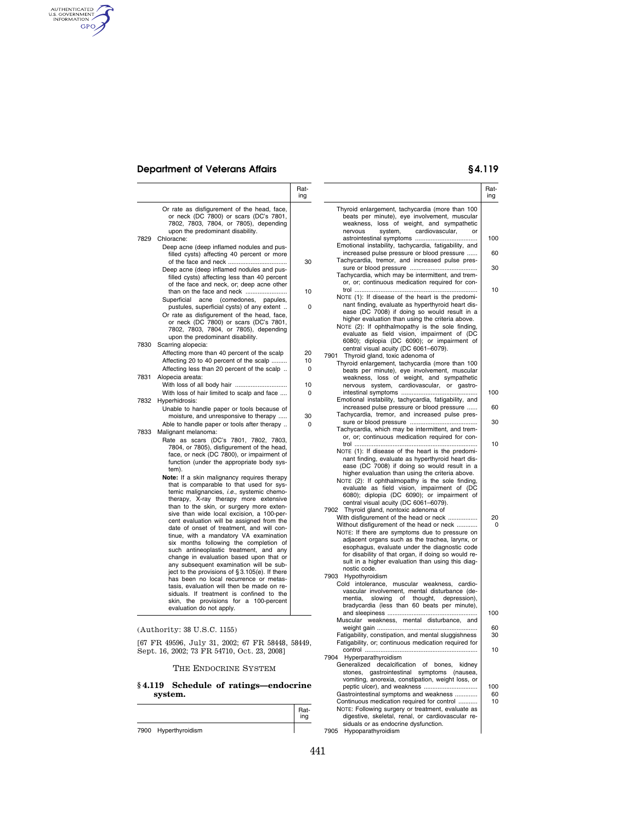# **Department of Veterans Affairs § 4.119**

AUTHENTICATED

|         |                                                                                                                                                                                                                                                                                                                                                                                                                                                                                                                                                                                                                                                                                                                                                                                                                                                                                                                                                                                                                                                                                                                                                                                                                  | Rat-<br>ing                    |                                                                                                                                                                                                                                                                                                                                                                                                                                                                                                                                                                                                                                                                                                                                                                                                                                                                                                                                                                                                                                                                                                                                                                                                                                                                      | Rat-<br>ing                              |
|---------|------------------------------------------------------------------------------------------------------------------------------------------------------------------------------------------------------------------------------------------------------------------------------------------------------------------------------------------------------------------------------------------------------------------------------------------------------------------------------------------------------------------------------------------------------------------------------------------------------------------------------------------------------------------------------------------------------------------------------------------------------------------------------------------------------------------------------------------------------------------------------------------------------------------------------------------------------------------------------------------------------------------------------------------------------------------------------------------------------------------------------------------------------------------------------------------------------------------|--------------------------------|----------------------------------------------------------------------------------------------------------------------------------------------------------------------------------------------------------------------------------------------------------------------------------------------------------------------------------------------------------------------------------------------------------------------------------------------------------------------------------------------------------------------------------------------------------------------------------------------------------------------------------------------------------------------------------------------------------------------------------------------------------------------------------------------------------------------------------------------------------------------------------------------------------------------------------------------------------------------------------------------------------------------------------------------------------------------------------------------------------------------------------------------------------------------------------------------------------------------------------------------------------------------|------------------------------------------|
|         | Or rate as disfigurement of the head, face,<br>or neck (DC 7800) or scars (DC's 7801,<br>7802, 7803, 7804, or 7805), depending<br>upon the predominant disability.<br>7829 Chloracne:<br>Deep acne (deep inflamed nodules and pus-<br>filled cysts) affecting 40 percent or more<br>Deep acne (deep inflamed nodules and pus-<br>filled cysts) affecting less than 40 percent<br>of the face and neck, or; deep acne other<br>Superficial<br>acne<br>(comedones, papules,<br>pustules, superficial cysts) of any extent<br>Or rate as disfigurement of the head, face,<br>or neck (DC 7800) or scars (DC's 7801,<br>7802, 7803, 7804, or 7805), depending<br>upon the predominant disability.<br>7830 Scarring alopecia:<br>Affecting more than 40 percent of the scalp<br>Affecting 20 to 40 percent of the scalp<br>Affecting less than 20 percent of the scalp                                                                                                                                                                                                                                                                                                                                                | 30<br>10<br>0<br>20<br>10<br>0 | Thyroid enlargement, tachycardia (more than 100<br>beats per minute), eye involvement, muscular<br>weakness, loss of weight, and sympathetic<br>cardiovascular,<br>nervous<br>system,<br>or<br>Emotional instability, tachycardia, fatigability, and<br>increased pulse pressure or blood pressure<br>Tachycardia, tremor, and increased pulse pres-<br>Tachycardia, which may be intermittent, and trem-<br>or, or; continuous medication required for con-<br>NOTE (1): If disease of the heart is the predomi-<br>nant finding, evaluate as hyperthyroid heart dis-<br>ease (DC 7008) if doing so would result in a<br>higher evaluation than using the criteria above.<br>NOTE (2): If ophthalmopathy is the sole finding,<br>evaluate as field vision, impairment of (DC<br>6080); diplopia (DC 6090); or impairment of<br>central visual acuity (DC 6061-6079).<br>7901 Thyroid gland, toxic adenoma of<br>Thyroid enlargement, tachycardia (more than 100                                                                                                                                                                                                                                                                                                     | 100<br>60<br>30<br>10                    |
|         | 7831 Alopecia areata:                                                                                                                                                                                                                                                                                                                                                                                                                                                                                                                                                                                                                                                                                                                                                                                                                                                                                                                                                                                                                                                                                                                                                                                            | 10                             | beats per minute), eye involvement, muscular<br>weakness, loss of weight, and sympathetic<br>nervous system, cardiovascular, or gastro-                                                                                                                                                                                                                                                                                                                                                                                                                                                                                                                                                                                                                                                                                                                                                                                                                                                                                                                                                                                                                                                                                                                              |                                          |
|         | With loss of hair limited to scalp and face<br>7832 Hyperhidrosis:<br>Unable to handle paper or tools because of<br>moisture, and unresponsive to therapy<br>Able to handle paper or tools after therapy<br>7833 Malignant melanoma:<br>Rate as scars (DC's 7801, 7802, 7803,<br>7804, or 7805), disfigurement of the head,<br>face, or neck (DC 7800), or impairment of<br>function (under the appropriate body sys-<br>tem).<br>Note: If a skin malignancy requires therapy<br>that is comparable to that used for sys-<br>temic malignancies, i.e., systemic chemo-<br>therapy, X-ray therapy more extensive<br>than to the skin, or surgery more exten-<br>sive than wide local excision, a 100-per-<br>cent evaluation will be assigned from the<br>date of onset of treatment, and will con-<br>tinue, with a mandatory VA examination<br>six months following the completion of<br>such antineoplastic treatment, and any<br>change in evaluation based upon that or<br>any subsequent examination will be sub-<br>ject to the provisions of $\S 3.105(e)$ . If there<br>has been no local recurrence or metas-<br>tasis, evaluation will then be made on re-<br>siduals. If treatment is confined to the | 0<br>30<br>0                   | Emotional instability, tachycardia, fatigability, and<br>increased pulse pressure or blood pressure<br>Tachycardia, tremor, and increased pulse pres-<br>Tachycardia, which may be intermittent, and trem-<br>or, or; continuous medication required for con-<br>NOTE (1): If disease of the heart is the predomi-<br>nant finding, evaluate as hyperthyroid heart dis-<br>ease (DC 7008) if doing so would result in a<br>higher evaluation than using the criteria above.<br>NOTE (2): If ophthalmopathy is the sole finding,<br>evaluate as field vision, impairment of (DC<br>6080); diplopia (DC 6090); or impairment of<br>central visual acuity (DC 6061-6079).<br>7902 Thyroid gland, nontoxic adenoma of<br>With disfigurement of the head or neck<br>Without disfigurement of the head or neck<br>NOTE: If there are symptoms due to pressure on<br>adjacent organs such as the trachea, larynx, or<br>esophagus, evaluate under the diagnostic code<br>for disability of that organ, if doing so would re-<br>sult in a higher evaluation than using this diag-<br>nostic code.<br>7903 Hypothyroidism<br>Cold intolerance, muscular weakness, cardio-<br>vascular involvement, mental disturbance (de-<br>mentia,<br>slowing of thought,<br>depression), | 100<br>60<br>30<br>10<br>20<br>0         |
| § 4.119 | skin, the provisions for a 100-percent<br>evaluation do not apply.<br>(Authority: 38 U.S.C. 1155)<br>[67 FR 49596, July 31, 2002; 67 FR 58448, 58449,<br>Sept. 16, 2002; 73 FR 54710, Oct. 23, 2008]<br>THE ENDOCRINE SYSTEM<br>Schedule of ratings—endocrine<br>system.                                                                                                                                                                                                                                                                                                                                                                                                                                                                                                                                                                                                                                                                                                                                                                                                                                                                                                                                         | Rat-                           | bradycardia (less than 60 beats per minute),<br>Muscular weakness, mental disturbance, and<br>Fatigability, constipation, and mental sluggishness<br>Fatigability, or; continuous medication required for<br>7904 Hyperparathyroidism<br>Generalized decalcification of bones, kidney<br>stones, gastrointestinal symptoms (nausea,<br>vomiting, anorexia, constipation, weight loss, or<br>Gastrointestinal symptoms and weakness<br>Continuous medication required for control<br>NOTE: Following surgery or treatment, evaluate as                                                                                                                                                                                                                                                                                                                                                                                                                                                                                                                                                                                                                                                                                                                                | 100<br>60<br>30<br>10<br>100<br>60<br>10 |
|         | 7900 Hyperthyroidism                                                                                                                                                                                                                                                                                                                                                                                                                                                                                                                                                                                                                                                                                                                                                                                                                                                                                                                                                                                                                                                                                                                                                                                             | ing                            | digestive, skeletal, renal, or cardiovascular re-<br>siduals or as endocrine dysfunction.<br>7905 Hypoparathyroidism                                                                                                                                                                                                                                                                                                                                                                                                                                                                                                                                                                                                                                                                                                                                                                                                                                                                                                                                                                                                                                                                                                                                                 |                                          |

7900 Hyperthyroidism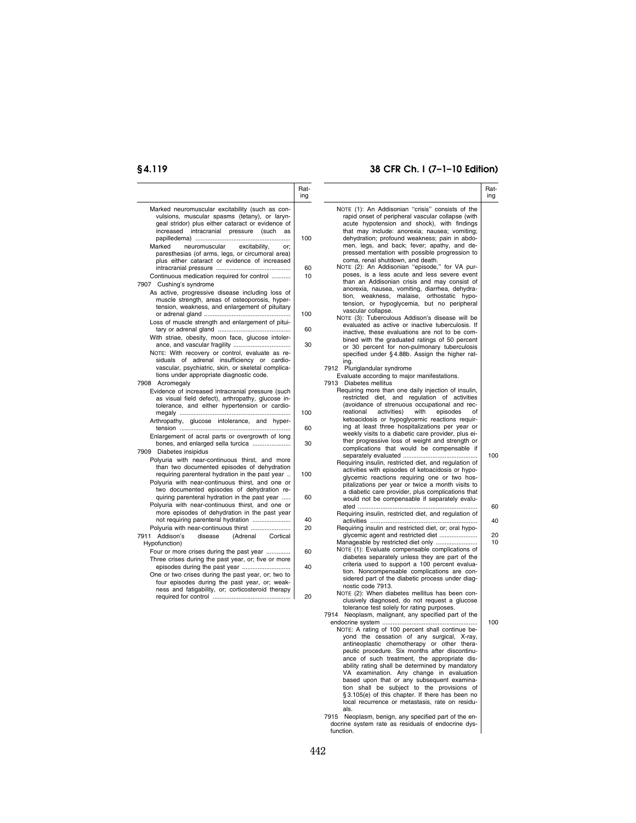## **§ 4.119 38 CFR Ch. I (7–1–10 Edition)**

|                                                                                                  | Rat-<br>ing |                                                                                                       | Rat-<br>ing |
|--------------------------------------------------------------------------------------------------|-------------|-------------------------------------------------------------------------------------------------------|-------------|
| Marked neuromuscular excitability (such as con-<br>vulsions, muscular spasms (tetany), or laryn- |             | NOTE (1): An Addisonian "crisis" consists of the<br>rapid onset of peripheral vascular collapse (with |             |
| geal stridor) plus either cataract or evidence of                                                |             | acute hypotension and shock), with findings                                                           |             |
| increased intracranial pressure (such as                                                         |             | that may include: anorexia; nausea; vomiting;                                                         |             |
|                                                                                                  | 100         | dehydration; profound weakness; pain in abdo-                                                         |             |
| Marked<br>neuromuscular<br>excitability,<br>or:                                                  |             | men, legs, and back; fever; apathy, and de-                                                           |             |
| paresthesias (of arms, legs, or circumoral area)                                                 |             | pressed mentation with possible progression to                                                        |             |
| plus either cataract or evidence of increased                                                    |             | coma, renal shutdown, and death.                                                                      |             |
|                                                                                                  | 60          | NOTE (2): An Addisonian "episode," for VA pur-                                                        |             |
| Continuous medication required for control                                                       | 10          | poses, is a less acute and less severe event                                                          |             |
| 7907<br>Cushing's syndrome                                                                       |             | than an Addisonian crisis and may consist of<br>anorexia, nausea, vomiting, diarrhea, dehydra-        |             |
| As active, progressive disease including loss of                                                 |             | tion, weakness, malaise, orthostatic hypo-                                                            |             |
| muscle strength, areas of osteoporosis, hyper-                                                   |             | tension, or hypoglycemia, but no peripheral                                                           |             |
| tension, weakness, and enlargement of pituitary                                                  |             | vascular collapse.                                                                                    |             |
|                                                                                                  | 100         | NOTE (3): Tuberculous Addison's disease will be                                                       |             |
| Loss of muscle strength and enlargement of pitui-                                                |             | evaluated as active or inactive tuberculosis. If                                                      |             |
|                                                                                                  | 60          | inactive, these evaluations are not to be com-                                                        |             |
| With striae, obesity, moon face, glucose intoler-                                                | 30          | bined with the graduated ratings of 50 percent                                                        |             |
| ance, and vascular fragility                                                                     |             | or 30 percent for non-pulmonary tuberculosis                                                          |             |
| NOTE: With recovery or control, evaluate as re-<br>siduals of adrenal insufficiency or cardio-   |             | specified under §4.88b. Assign the higher rat-                                                        |             |
| vascular, psychiatric, skin, or skeletal complica-                                               |             | ing.<br>7912 Pluriglandular syndrome                                                                  |             |
| tions under appropriate diagnostic code.                                                         |             | Evaluate according to major manifestations.                                                           |             |
| 7908 Acromegaly                                                                                  |             | 7913 Diabetes mellitus                                                                                |             |
| Evidence of increased intracranial pressure (such                                                |             | Requiring more than one daily injection of insulin,                                                   |             |
| as visual field defect), arthropathy, glucose in-                                                |             | restricted diet, and regulation of activities                                                         |             |
| tolerance, and either hypertension or cardio-                                                    |             | (avoidance of strenuous occupational and rec-                                                         |             |
|                                                                                                  | 100         | activities)<br>with<br>reational<br>episodes<br>Ωf                                                    |             |
| Arthropathy, glucose intolerance, and hyper-                                                     |             | ketoacidosis or hypoglycemic reactions requir-                                                        |             |
|                                                                                                  | 60          | ing at least three hospitalizations per year or                                                       |             |
| Enlargement of acral parts or overgrowth of long                                                 |             | weekly visits to a diabetic care provider, plus ei-                                                   |             |
| bones, and enlarged sella turcica                                                                | 30          | ther progressive loss of weight and strength or<br>complications that would be compensable if         |             |
| 7909 Diabetes insipidus                                                                          |             |                                                                                                       | 100         |
| Polyuria with near-continuous thirst, and more                                                   |             | Requiring insulin, restricted diet, and regulation of                                                 |             |
| than two documented episodes of dehydration                                                      |             | activities with episodes of ketoacidosis or hypo-                                                     |             |
| requiring parenteral hydration in the past year                                                  | 100         | glycemic reactions requiring one or two hos-                                                          |             |
| Polyuria with near-continuous thirst, and one or<br>two documented episodes of dehydration re-   |             | pitalizations per year or twice a month visits to                                                     |             |
| quiring parenteral hydration in the past year                                                    | 60          | a diabetic care provider, plus complications that                                                     |             |
| Polyuria with near-continuous thirst, and one or                                                 |             | would not be compensable if separately evalu-                                                         | 60          |
| more episodes of dehydration in the past year                                                    |             | Requiring insulin, restricted diet, and regulation of                                                 |             |
| not requiring parenteral hydration                                                               | 40          |                                                                                                       | 40          |
| Polyuria with near-continuous thirst                                                             | 20          | Requiring insulin and restricted diet, or; oral hypo-                                                 |             |
| 7911 Addison's<br>disease<br>(Adrenal<br>Cortical                                                |             |                                                                                                       | 20          |
| Hypofunction)                                                                                    |             | Manageable by restricted diet only                                                                    | 10          |
| Four or more crises during the past year                                                         | 60          | NOTE (1): Evaluate compensable complications of                                                       |             |
| Three crises during the past year, or; five or more                                              |             | diabetes separately unless they are part of the                                                       |             |
| episodes during the past year                                                                    | 40          | criteria used to support a 100 percent evalua-                                                        |             |
| One or two crises during the past year, or; two to                                               |             | tion. Noncompensable complications are con-                                                           |             |
| four episodes during the past year, or; weak-                                                    |             | sidered part of the diabetic process under diag-<br>nostic code 7913.                                 |             |
| ness and fatigability, or; corticosteroid therapy                                                |             | NOTE (2): When diabetes mellitus has been con-                                                        |             |
|                                                                                                  | 20          | clusively diagnosed, do not request a glucose                                                         |             |
|                                                                                                  |             | tolerance test solely for rating purposes.                                                            |             |
|                                                                                                  |             | 7914 Neoplasm, malignant, any specified part of the                                                   |             |
|                                                                                                  |             |                                                                                                       | 100         |
|                                                                                                  |             | NOTE: A rating of 100 percent shall continue be-                                                      |             |
|                                                                                                  |             | yond the cessation of any surgical, X-ray,                                                            |             |
|                                                                                                  |             | antineoplastic chemotherapy or other thera-<br>peutic procedure. Six months after discontinu-         |             |
|                                                                                                  |             | ance of such treatment, the appropriate dis-                                                          |             |
|                                                                                                  |             | ability rating shall be determined by mandatory                                                       |             |
|                                                                                                  |             | VA examination. Any change in evaluation                                                              |             |
|                                                                                                  |             | based upon that or any subsequent examina-                                                            |             |
|                                                                                                  |             | tion shall be subject to the provisions of                                                            |             |
|                                                                                                  |             | §3.105(e) of this chapter. If there has been no                                                       |             |
|                                                                                                  |             | local recurrence or metastasis, rate on residu-                                                       |             |

als. 7915 Neoplasm, benign, any specified part of the en-docrine system rate as residuals of endocrine dys-function.